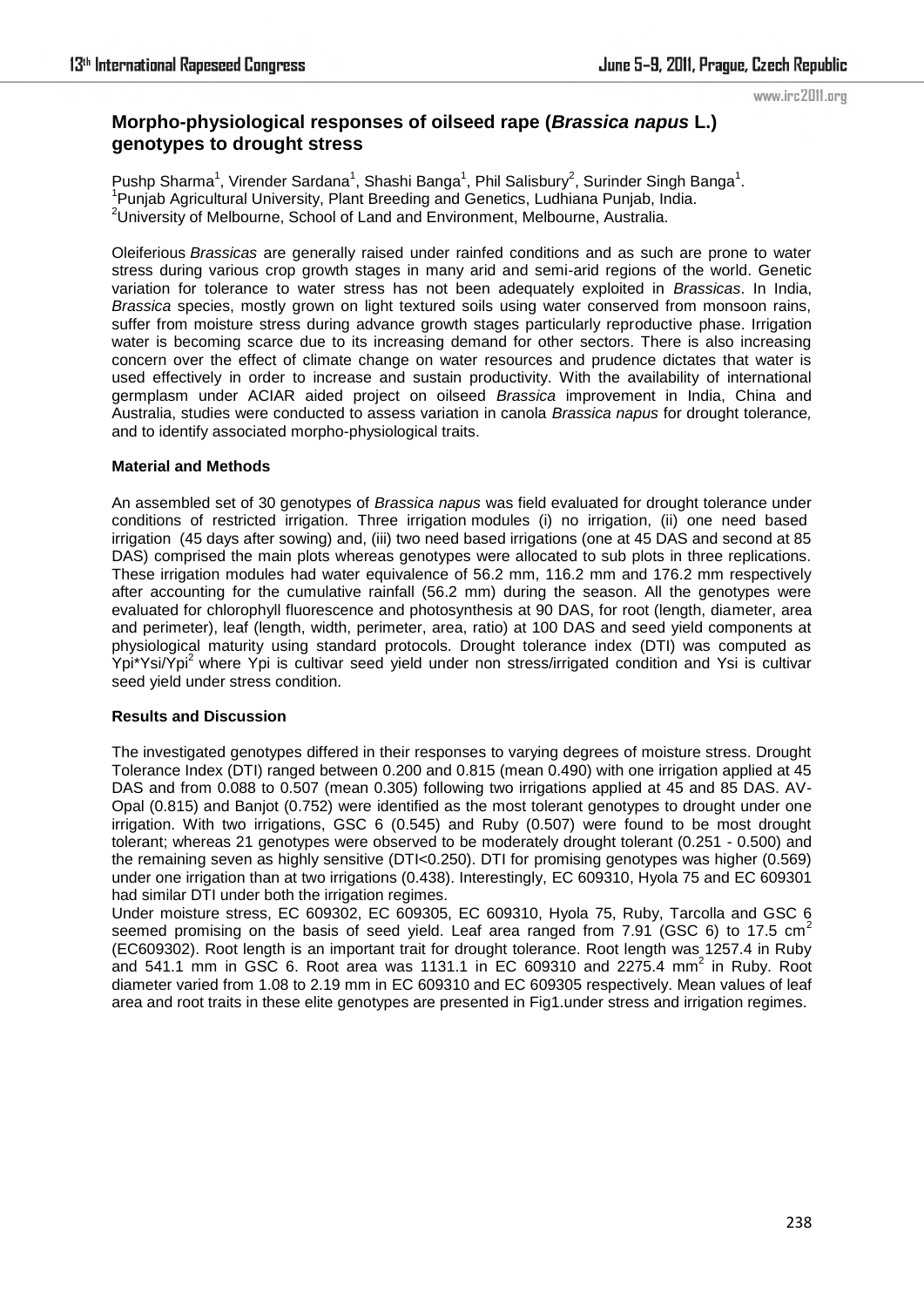## www.irc2011.org

## **Morpho-physiological responses of oilseed rape (***Brassica napus* **L.) genotypes to drought stress**

Pushp Sharma<sup>1</sup>, Virender Sardana<sup>1</sup>, Shashi Banga<sup>1</sup>, Phil Salisbury<sup>2</sup>, Surinder Singh Banga<sup>1</sup>. <sup>1</sup> Punjab Agricultural University, Plant Breeding and Genetics, Ludhiana Punjab, India. 2University of Melbourne, School of Land and Environment, Melbourne, Australia.

Oleiferious *Brassicas* are generally raised under rainfed conditions and as such are prone to water stress during various crop growth stages in many arid and semi-arid regions of the world. Genetic variation for tolerance to water stress has not been adequately exploited in *Brassicas*. In India, *Brassica* species, mostly grown on light textured soils using water conserved from monsoon rains, suffer from moisture stress during advance growth stages particularly reproductive phase. Irrigation water is becoming scarce due to its increasing demand for other sectors. There is also increasing concern over the effect of climate change on water resources and prudence dictates that water is used effectively in order to increase and sustain productivity. With the availability of international germplasm under ACIAR aided project on oilseed *Brassica* improvement in India, China and Australia, studies were conducted to assess variation in canola *Brassica napus* for drought tolerance*,* and to identify associated morpho-physiological traits.

## **Material and Methods**

An assembled set of 30 genotypes of *Brassica napus* was field evaluated for drought tolerance under conditions of restricted irrigation. Three irrigation modules (i) no irrigation, (ii) one need based irrigation (45 days after sowing) and, (iii) two need based irrigations (one at 45 DAS and second at 85 DAS) comprised the main plots whereas genotypes were allocated to sub plots in three replications. These irrigation modules had water equivalence of 56.2 mm, 116.2 mm and 176.2 mm respectively after accounting for the cumulative rainfall (56.2 mm) during the season. All the genotypes were evaluated for chlorophyll fluorescence and photosynthesis at 90 DAS, for root (length, diameter, area and perimeter), leaf (length, width, perimeter, area, ratio) at 100 DAS and seed yield components at physiological maturity using standard protocols. Drought tolerance index (DTI) was computed as Ypi\*Ysi/Ypi<sup>2</sup> where Ypi is cultivar seed yield under non stress/irrigated condition and Ysi is cultivar seed yield under stress condition.

## **Results and Discussion**

The investigated genotypes differed in their responses to varying degrees of moisture stress. Drought Tolerance Index (DTI) ranged between 0.200 and 0.815 (mean 0.490) with one irrigation applied at 45 DAS and from 0.088 to 0.507 (mean 0.305) following two irrigations applied at 45 and 85 DAS. AV-Opal (0.815) and Banjot (0.752) were identified as the most tolerant genotypes to drought under one irrigation. With two irrigations, GSC 6 (0.545) and Ruby (0.507) were found to be most drought tolerant; whereas 21 genotypes were observed to be moderately drought tolerant (0.251 - 0.500) and the remaining seven as highly sensitive (DTI<0.250). DTI for promising genotypes was higher (0.569) under one irrigation than at two irrigations (0.438). Interestingly, EC 609310, Hyola 75 and EC 609301 had similar DTI under both the irrigation regimes.

Under moisture stress, EC 609302, EC 609305, EC 609310, Hyola 75, Ruby, Tarcolla and GSC 6 seemed promising on the basis of seed yield. Leaf area ranged from  $7.91$  (GSC 6) to 17.5 cm<sup>2</sup> (EC609302). Root length is an important trait for drought tolerance. Root length was 1257.4 in Ruby and 541.1 mm in GSC 6. Root area was 1131.1 in EC 609310 and 2275.4 mm<sup>2</sup> in Ruby. Root diameter varied from 1.08 to 2.19 mm in EC 609310 and EC 609305 respectively. Mean values of leaf area and root traits in these elite genotypes are presented in Fig1.under stress and irrigation regimes.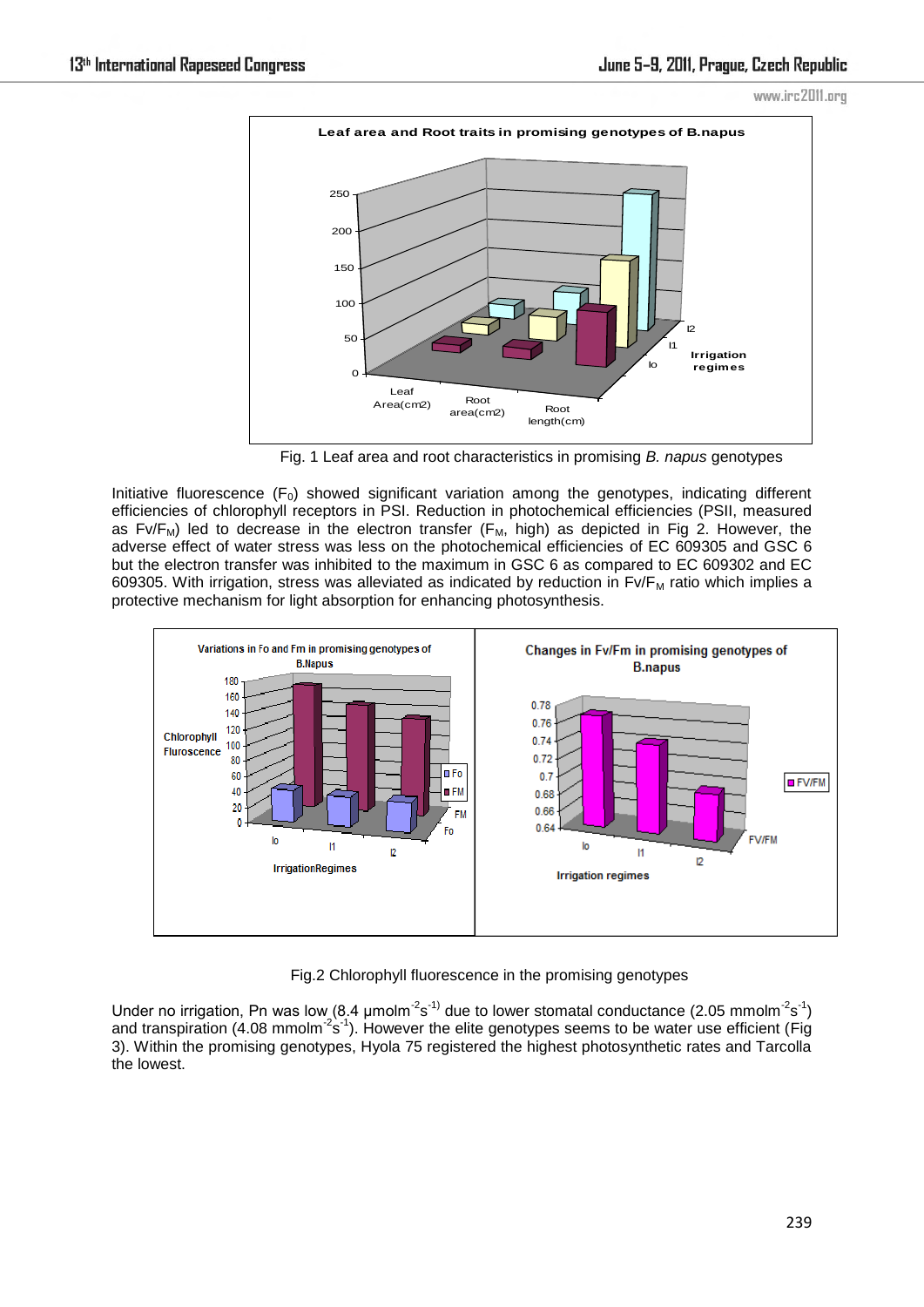



Fig. 1 Leaf area and root characteristics in promising *B. napus* genotypes

Initiative fluorescence  $(F_0)$  showed significant variation among the genotypes, indicating different efficiencies of chlorophyll receptors in PSI. Reduction in photochemical efficiencies (PSII, measured as Fv/F<sub>M</sub>) led to decrease in the electron transfer (F<sub>M</sub>, high) as depicted in Fig 2. However, the adverse effect of water stress was less on the photochemical efficiencies of EC 609305 and GSC 6 but the electron transfer was inhibited to the maximum in GSC 6 as compared to EC 609302 and EC 609305. With irrigation, stress was alleviated as indicated by reduction in  $Fv/F<sub>M</sub>$  ratio which implies a protective mechanism for light absorption for enhancing photosynthesis.



Fig.2 Chlorophyll fluorescence in the promising genotypes

Under no irrigation, Pn was low (8.4  $\mu$ molm<sup>-2</sup>s<sup>-1)</sup> due to lower stomatal conductance (2.05 mmolm<sup>-2</sup>s<sup>-1</sup>) and transpiration (4.08 mmolm<sup>-2</sup>s<sup>-1</sup>). However the elite genotypes seems to be water use efficient (Fig 3). Within the promising genotypes, Hyola 75 registered the highest photosynthetic rates and Tarcolla the lowest.